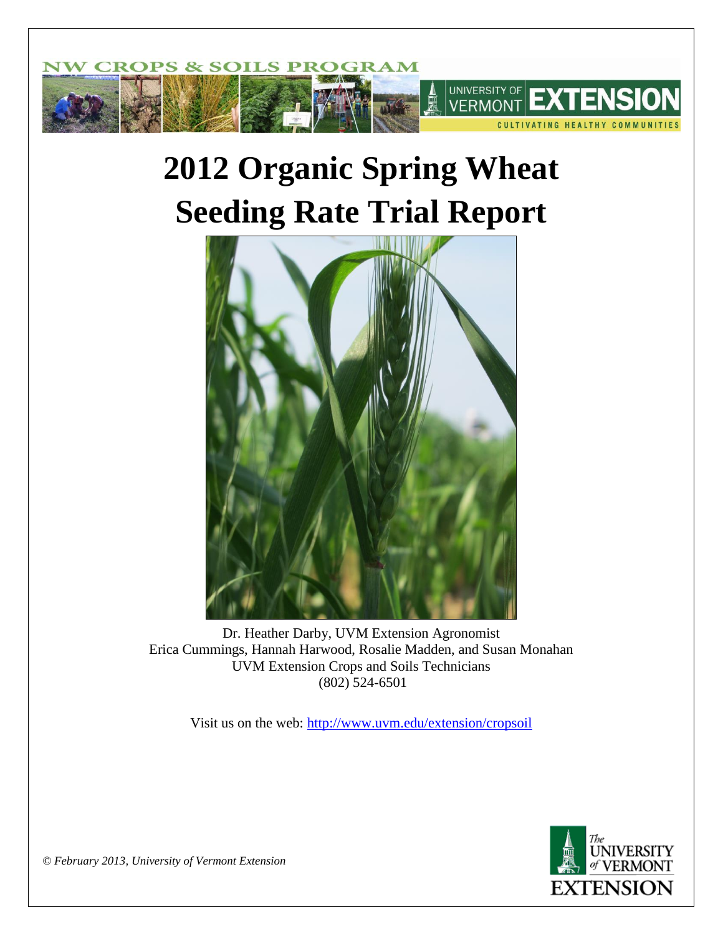

# **2012 Organic Spring Wheat Seeding Rate Trial Report**



Dr. Heather Darby, UVM Extension Agronomist Erica Cummings, Hannah Harwood, Rosalie Madden, and Susan Monahan UVM Extension Crops and Soils Technicians (802) 524-6501

Visit us on the web:<http://www.uvm.edu/extension/cropsoil>



*© February 2013, University of Vermont Extension*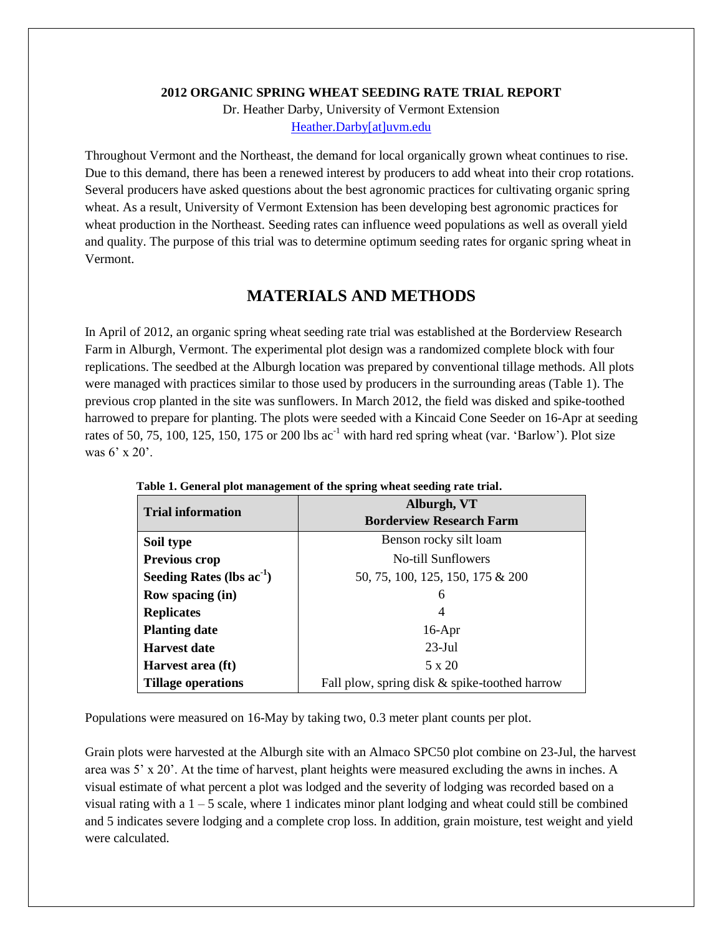#### **2012 ORGANIC SPRING WHEAT SEEDING RATE TRIAL REPORT**

Dr. Heather Darby, University of Vermont Extension [Heather.Darby\[at\]uvm.edu](mailto:Heather.Darby@uvm.edu)

Throughout Vermont and the Northeast, the demand for local organically grown wheat continues to rise. Due to this demand, there has been a renewed interest by producers to add wheat into their crop rotations. Several producers have asked questions about the best agronomic practices for cultivating organic spring wheat. As a result, University of Vermont Extension has been developing best agronomic practices for wheat production in the Northeast. Seeding rates can influence weed populations as well as overall yield and quality. The purpose of this trial was to determine optimum seeding rates for organic spring wheat in Vermont.

### **MATERIALS AND METHODS**

In April of 2012, an organic spring wheat seeding rate trial was established at the Borderview Research Farm in Alburgh, Vermont. The experimental plot design was a randomized complete block with four replications. The seedbed at the Alburgh location was prepared by conventional tillage methods. All plots were managed with practices similar to those used by producers in the surrounding areas (Table 1). The previous crop planted in the site was sunflowers. In March 2012, the field was disked and spike-toothed harrowed to prepare for planting. The plots were seeded with a Kincaid Cone Seeder on 16-Apr at seeding rates of 50, 75, 100, 125, 150, 175 or 200 lbs  $ac^{-1}$  with hard red spring wheat (var. 'Barlow'). Plot size was 6' x 20'.

|                                | Alburgh, VT                                   |  |  |  |
|--------------------------------|-----------------------------------------------|--|--|--|
| <b>Trial information</b>       | <b>Borderview Research Farm</b>               |  |  |  |
| Soil type                      | Benson rocky silt loam                        |  |  |  |
| Previous crop                  | No-till Sunflowers                            |  |  |  |
| Seeding Rates (lbs $ac^{-1}$ ) | 50, 75, 100, 125, 150, 175 & 200              |  |  |  |
| <b>Row spacing (in)</b>        | 6                                             |  |  |  |
| <b>Replicates</b>              | 4                                             |  |  |  |
| <b>Planting date</b>           | $16$ -Apr                                     |  |  |  |
| Harvest date                   | $23$ -Jul                                     |  |  |  |
| Harvest area (ft)              | 5 x 20                                        |  |  |  |
| <b>Tillage operations</b>      | Fall plow, spring disk & spike-toothed harrow |  |  |  |

| Table 1. General plot management of the spring wheat seeding rate trial. |  |
|--------------------------------------------------------------------------|--|
|                                                                          |  |

Populations were measured on 16-May by taking two, 0.3 meter plant counts per plot.

Grain plots were harvested at the Alburgh site with an Almaco SPC50 plot combine on 23-Jul, the harvest area was 5' x 20'. At the time of harvest, plant heights were measured excluding the awns in inches. A visual estimate of what percent a plot was lodged and the severity of lodging was recorded based on a visual rating with a  $1 - 5$  scale, where 1 indicates minor plant lodging and wheat could still be combined and 5 indicates severe lodging and a complete crop loss. In addition, grain moisture, test weight and yield were calculated.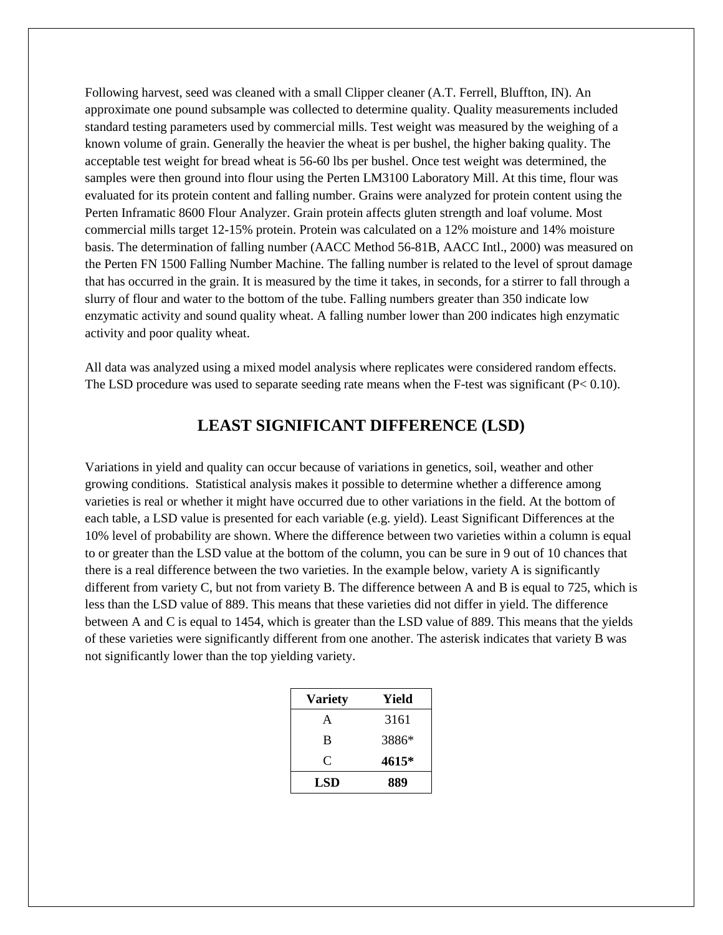Following harvest, seed was cleaned with a small Clipper cleaner (A.T. Ferrell, Bluffton, IN). An approximate one pound subsample was collected to determine quality. Quality measurements included standard testing parameters used by commercial mills. Test weight was measured by the weighing of a known volume of grain. Generally the heavier the wheat is per bushel, the higher baking quality. The acceptable test weight for bread wheat is 56-60 lbs per bushel. Once test weight was determined, the samples were then ground into flour using the Perten LM3100 Laboratory Mill. At this time, flour was evaluated for its protein content and falling number. Grains were analyzed for protein content using the Perten Inframatic 8600 Flour Analyzer. Grain protein affects gluten strength and loaf volume. Most commercial mills target 12-15% protein. Protein was calculated on a 12% moisture and 14% moisture basis. The determination of falling number (AACC Method 56-81B, AACC Intl., 2000) was measured on the Perten FN 1500 Falling Number Machine. The falling number is related to the level of sprout damage that has occurred in the grain. It is measured by the time it takes, in seconds, for a stirrer to fall through a slurry of flour and water to the bottom of the tube. Falling numbers greater than 350 indicate low enzymatic activity and sound quality wheat. A falling number lower than 200 indicates high enzymatic activity and poor quality wheat.

All data was analyzed using a mixed model analysis where replicates were considered random effects. The LSD procedure was used to separate seeding rate means when the F-test was significant  $(P< 0.10)$ .

# **LEAST SIGNIFICANT DIFFERENCE (LSD)**

Variations in yield and quality can occur because of variations in genetics, soil, weather and other growing conditions. Statistical analysis makes it possible to determine whether a difference among varieties is real or whether it might have occurred due to other variations in the field. At the bottom of each table, a LSD value is presented for each variable (e.g. yield). Least Significant Differences at the 10% level of probability are shown. Where the difference between two varieties within a column is equal to or greater than the LSD value at the bottom of the column, you can be sure in 9 out of 10 chances that there is a real difference between the two varieties. In the example below, variety A is significantly different from variety C, but not from variety B. The difference between A and B is equal to 725, which is less than the LSD value of 889. This means that these varieties did not differ in yield. The difference between A and C is equal to 1454, which is greater than the LSD value of 889. This means that the yields of these varieties were significantly different from one another. The asterisk indicates that variety B was not significantly lower than the top yielding variety.

| <b>Variety</b> | Yield |  |  |
|----------------|-------|--|--|
| A              | 3161  |  |  |
| B              | 3886* |  |  |
| C              | 4615* |  |  |
| LSD            | 889   |  |  |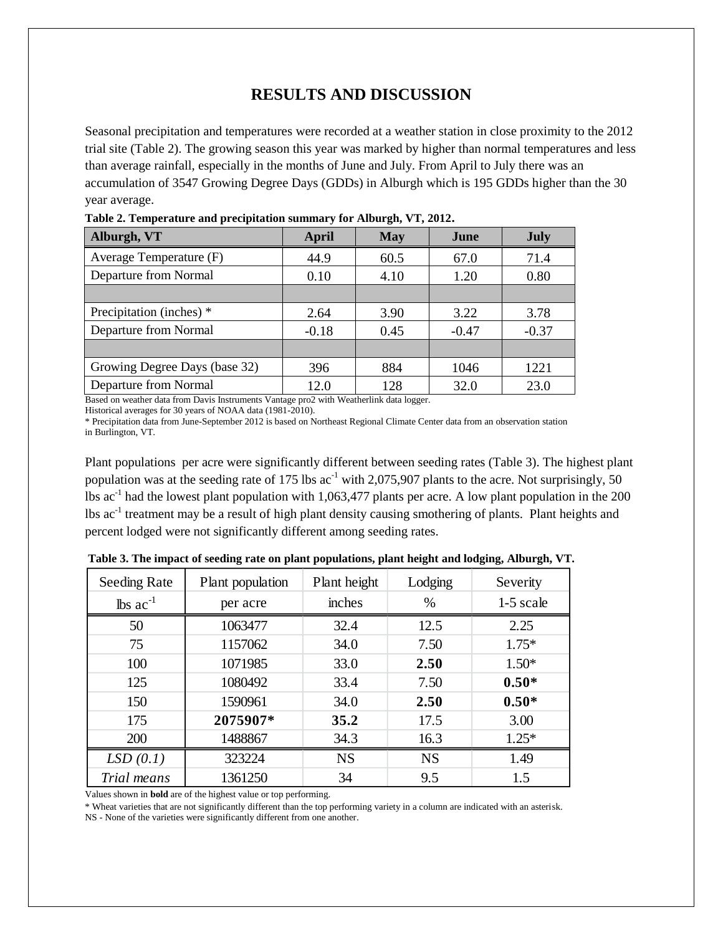## **RESULTS AND DISCUSSION**

Seasonal precipitation and temperatures were recorded at a weather station in close proximity to the 2012 trial site (Table 2). The growing season this year was marked by higher than normal temperatures and less than average rainfall, especially in the months of June and July. From April to July there was an accumulation of 3547 Growing Degree Days (GDDs) in Alburgh which is 195 GDDs higher than the 30 year average.

| Alburgh, VT                   | April   | <b>May</b> | June    | <b>July</b> |
|-------------------------------|---------|------------|---------|-------------|
| Average Temperature (F)       | 44.9    | 60.5       | 67.0    | 71.4        |
| Departure from Normal         | 0.10    | 4.10       | 1.20    | 0.80        |
|                               |         |            |         |             |
| Precipitation (inches) *      | 2.64    | 3.90       | 3.22    | 3.78        |
| Departure from Normal         | $-0.18$ | 0.45       | $-0.47$ | $-0.37$     |
|                               |         |            |         |             |
| Growing Degree Days (base 32) | 396     | 884        | 1046    | 1221        |
| Departure from Normal         | 12.0    | 128        | 32.0    | 23.0        |

**Table 2. Temperature and precipitation summary for Alburgh, VT, 2012.**

Based on weather data from Davis Instruments Vantage pro2 with Weatherlink data logger.

Historical averages for 30 years of NOAA data (1981-2010).

\* Precipitation data from June-September 2012 is based on Northeast Regional Climate Center data from an observation station in Burlington, VT.

Plant populations per acre were significantly different between seeding rates (Table 3). The highest plant population was at the seeding rate of 175 lbs  $ac^{-1}$  with 2,075,907 plants to the acre. Not surprisingly, 50 lbs  $ac^{-1}$  had the lowest plant population with 1,063,477 plants per acre. A low plant population in the 200 lbs ac<sup>-1</sup> treatment may be a result of high plant density causing smothering of plants. Plant heights and percent lodged were not significantly different among seeding rates.

| Seeding Rate                  | Plant population | Plant height | Lodging   | Severity  |  |
|-------------------------------|------------------|--------------|-----------|-----------|--|
| $\text{lbs}$ ac <sup>-1</sup> | per acre         | inches       | $\%$      | 1-5 scale |  |
| 50                            | 1063477          | 32.4         | 12.5      | 2.25      |  |
| 75                            | 1157062          | 34.0         | 7.50      | $1.75*$   |  |
| 100                           | 1071985          | 33.0         | 2.50      | $1.50*$   |  |
| 125                           | 1080492          | 33.4         | 7.50      | $0.50*$   |  |
| 150                           | 1590961          | 34.0         | 2.50      | $0.50*$   |  |
| 175                           | 2075907*         | 35.2         | 17.5      | 3.00      |  |
| 200                           | 1488867          | 34.3         | 16.3      | $1.25*$   |  |
| LSD(0.1)                      | 323224           | <b>NS</b>    | <b>NS</b> | 1.49      |  |
| Trial means                   | 1361250          | 34           | 9.5       | 1.5       |  |

**Table 3. The impact of seeding rate on plant populations, plant height and lodging, Alburgh, VT.**

Values shown in **bold** are of the highest value or top performing.

\* Wheat varieties that are not significantly different than the top performing variety in a column are indicated with an asterisk.

NS - None of the varieties were significantly different from one another.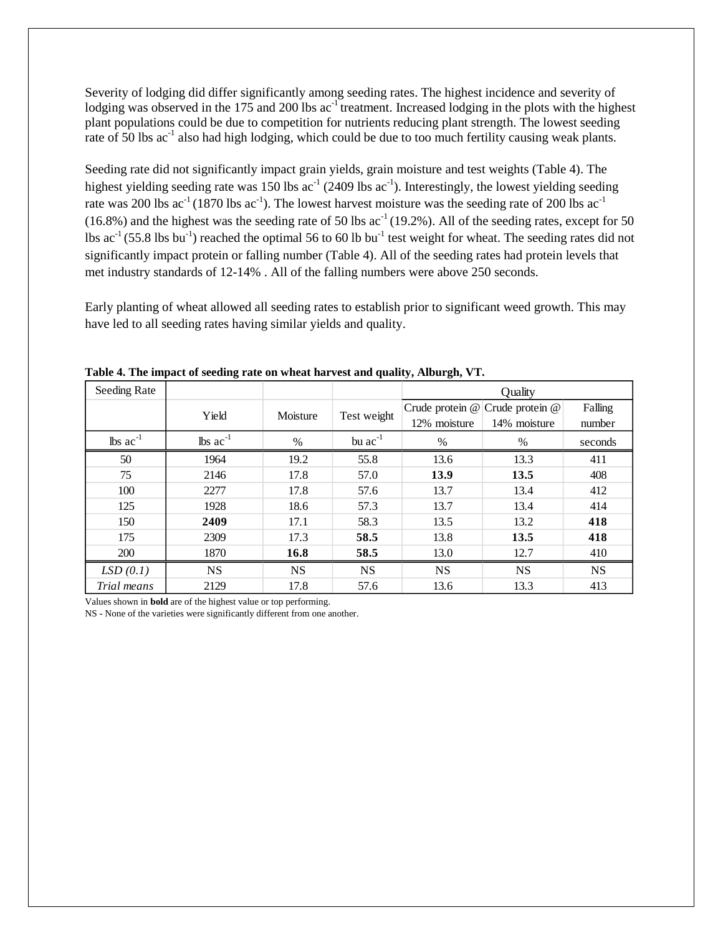Severity of lodging did differ significantly among seeding rates. The highest incidence and severity of lodging was observed in the 175 and 200 lbs ac<sup>-1</sup> treatment. Increased lodging in the plots with the highest plant populations could be due to competition for nutrients reducing plant strength. The lowest seeding rate of  $\bar{50}$  lbs ac<sup>-1</sup> also had high lodging, which could be due to too much fertility causing weak plants.

Seeding rate did not significantly impact grain yields, grain moisture and test weights (Table 4). The highest yielding seeding rate was 150 lbs  $ac^{-1}$  (2409 lbs  $ac^{-1}$ ). Interestingly, the lowest yielding seeding rate was 200 lbs  $ac^{-1}$  (1870 lbs  $ac^{-1}$ ). The lowest harvest moisture was the seeding rate of 200 lbs  $ac^{-1}$  $(16.8\%)$  and the highest was the seeding rate of 50 lbs ac<sup>-1</sup> (19.2%). All of the seeding rates, except for 50 lbs  $ac^{-1}$  (55.8 lbs bu<sup>-1</sup>) reached the optimal 56 to 60 lb bu<sup>-1</sup> test weight for wheat. The seeding rates did not significantly impact protein or falling number (Table 4). All of the seeding rates had protein levels that met industry standards of 12-14% . All of the falling numbers were above 250 seconds.

Early planting of wheat allowed all seeding rates to establish prior to significant weed growth. This may have led to all seeding rates having similar yields and quality.

| Seeding Rate  |               |           |                   | Quality         |              |           |
|---------------|---------------|-----------|-------------------|-----------------|--------------|-----------|
|               | Yield         | Moisture  | Crude protein $@$ | Crude protein @ | Falling      |           |
|               |               |           | Test weight       | 12% moisture    | 14% moisture | number    |
| lbs $ac^{-1}$ | lbs $ac^{-1}$ | $\%$      | bu $ac^{-1}$      | $\%$            | %            | seconds   |
| 50            | 1964          | 19.2      | 55.8              | 13.6            | 13.3         | 411       |
| 75            | 2146          | 17.8      | 57.0              | 13.9            | 13.5         | 408       |
| 100           | 2277          | 17.8      | 57.6              | 13.7            | 13.4         | 412       |
| 125           | 1928          | 18.6      | 57.3              | 13.7            | 13.4         | 414       |
| 150           | 2409          | 17.1      | 58.3              | 13.5            | 13.2         | 418       |
| 175           | 2309          | 17.3      | 58.5              | 13.8            | 13.5         | 418       |
| 200           | 1870          | 16.8      | 58.5              | 13.0            | 12.7         | 410       |
| LSD(0.1)      | <b>NS</b>     | <b>NS</b> | <b>NS</b>         | <b>NS</b>       | <b>NS</b>    | <b>NS</b> |
| Trial means   | 2129          | 17.8      | 57.6              | 13.6            | 13.3         | 413       |

**Table 4. The impact of seeding rate on wheat harvest and quality, Alburgh, VT.** 

Values shown in **bold** are of the highest value or top performing.

NS - None of the varieties were significantly different from one another.